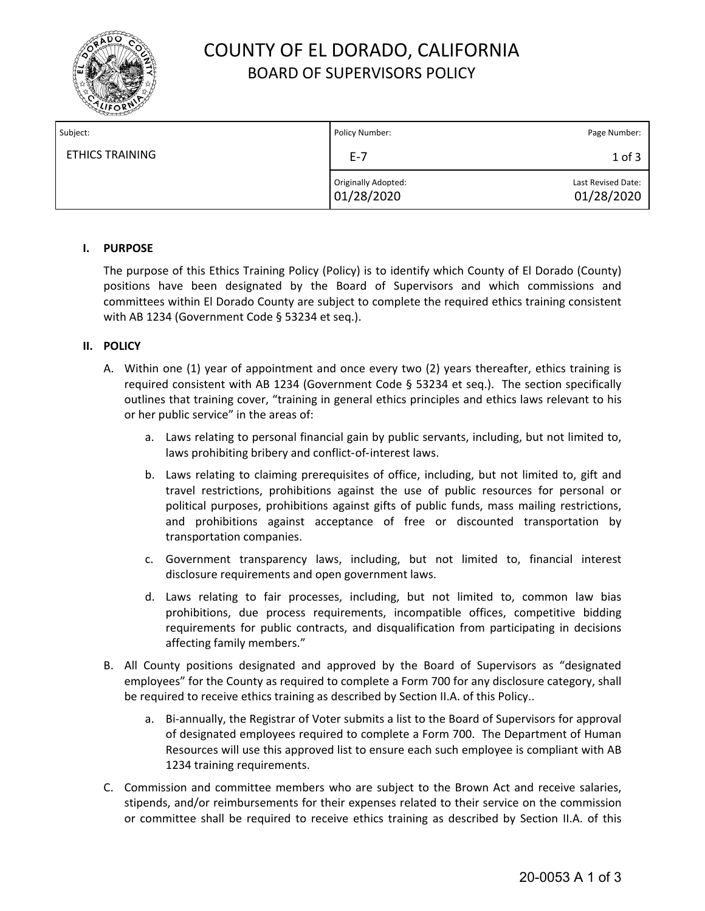

# COUNTY OF EL DORADO, CALIFORNIA BOARD OF SUPERVISORS POLICY

| Subject:               | Policy Number:                           | Page Number:                     |
|------------------------|------------------------------------------|----------------------------------|
| <b>ETHICS TRAINING</b> | $E-7$                                    | $1$ of $3$                       |
|                        | <b>Originally Adopted:</b><br>01/28/2020 | Last Revised Date:<br>01/28/2020 |

### **I. PURPOSE**

The purpose of this Ethics Training Policy (Policy) is to identify which County of El Dorado (County) positions have been designated by the Board of Supervisors and which commissions and committees within El Dorado County are subject to complete the required ethics training consistent with AB 1234 (Government Code § 53234 et seq.).

#### **II. POLICY**

- A. Within one (1) year of appointment and once every two (2) years thereafter, ethics training is required consistent with AB 1234 (Government Code § 53234 et seq.). The section specifically outlines that training cover, "training in general ethics principles and ethics laws relevant to his or her public service" in the areas of:
	- a. Laws relating to personal financial gain by public servants, including, but not limited to, laws prohibiting bribery and conflict-of-interest laws.
	- b. Laws relating to claiming prerequisites of office, including, but not limited to, gift and travel restrictions, prohibitions against the use of public resources for personal or political purposes, prohibitions against gifts of public funds, mass mailing restrictions, and prohibitions against acceptance of free or discounted transportation by transportation companies.
	- c. Government transparency laws, including, but not limited to, financial interest disclosure requirements and open government laws.
	- d. Laws relating to fair processes, including, but not limited to, common law bias prohibitions, due process requirements, incompatible offices, competitive bidding requirements for public contracts, and disqualification from participating in decisions affecting family members."
- B. All County positions designated and approved by the Board of Supervisors as "designated employees" for the County as required to complete a Form 700 for any disclosure category, shall be required to receive ethics training as described by Section II.A. of this Policy..
	- a. Bi-annually, the Registrar of Voter submits a list to the Board of Supervisors for approval of designated employees required to complete a Form 700. The Department of Human Resources will use this approved list to ensure each such employee is compliant with AB 1234 training requirements.
- C. Commission and committee members who are subject to the Brown Act and receive salaries, stipends, and/or reimbursements for their expenses related to their service on the commission or committee shall be required to receive ethics training as described by Section II.A. of this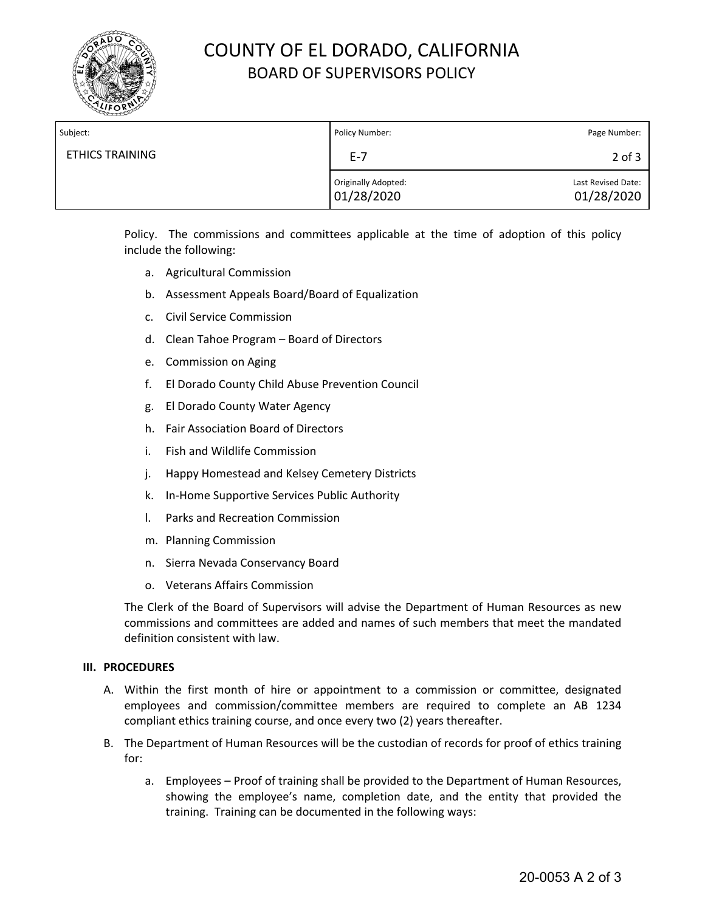

# COUNTY OF EL DORADO, CALIFORNIA BOARD OF SUPERVISORS POLICY

| Subject:               | Policy Number:                    | Page Number:                     |
|------------------------|-----------------------------------|----------------------------------|
| <b>ETHICS TRAINING</b> | $E - 7$                           | $2$ of $3$                       |
|                        | Originally Adopted:<br>01/28/2020 | Last Revised Date:<br>01/28/2020 |

Policy. The commissions and committees applicable at the time of adoption of this policy include the following:

- a. Agricultural Commission
- b. Assessment Appeals Board/Board of Equalization
- c. Civil Service Commission
- d. Clean Tahoe Program Board of Directors
- e. Commission on Aging
- f. El Dorado County Child Abuse Prevention Council
- g. El Dorado County Water Agency
- h. Fair Association Board of Directors
- i. Fish and Wildlife Commission
- j. Happy Homestead and Kelsey Cemetery Districts
- k. In-Home Supportive Services Public Authority
- l. Parks and Recreation Commission
- m. Planning Commission
- n. Sierra Nevada Conservancy Board
- o. Veterans Affairs Commission

The Clerk of the Board of Supervisors will advise the Department of Human Resources as new commissions and committees are added and names of such members that meet the mandated definition consistent with law.

### **III. PROCEDURES**

- A. Within the first month of hire or appointment to a commission or committee, designated employees and commission/committee members are required to complete an AB 1234 compliant ethics training course, and once every two (2) years thereafter.
- B. The Department of Human Resources will be the custodian of records for proof of ethics training for:
	- a. Employees Proof of training shall be provided to the Department of Human Resources, showing the employee's name, completion date, and the entity that provided the training. Training can be documented in the following ways: